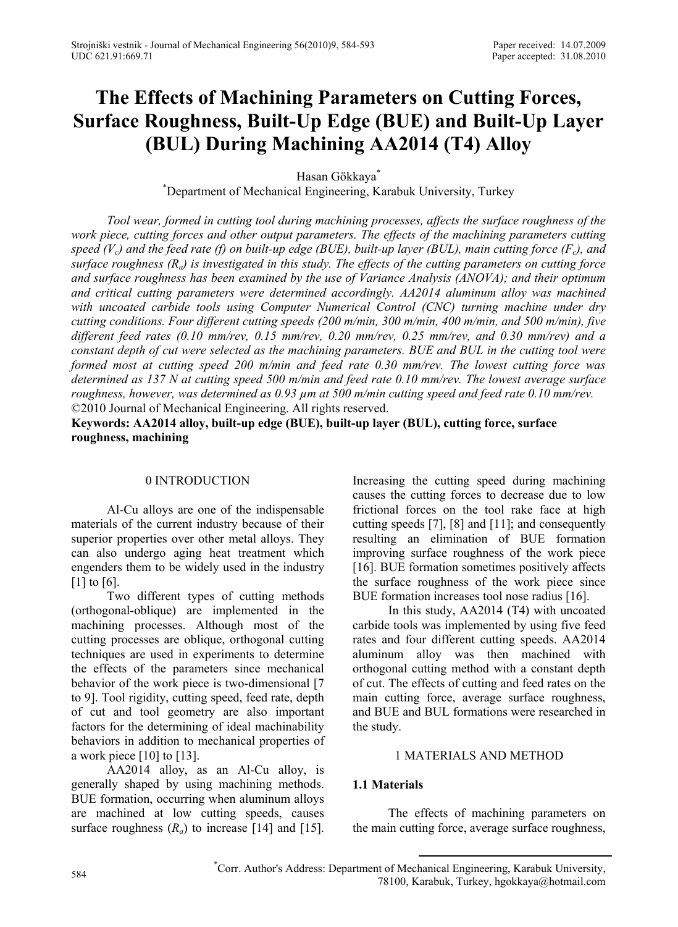# **The Effects of Machining Parameters on Cutting Forces, Surface Roughness, Built-Up Edge (BUE) and Built-Up Layer (BUL) During Machining AA2014 (T4) Alloy**

Hasan Gökkaya\*

\* Department of Mechanical Engineering, Karabuk University, Turkey

*Tool wear, formed in cutting tool during machining processes, affects the surface roughness of the work piece, cutting forces and other output parameters. The effects of the machining parameters cutting*  speed  $(V_c)$  and the feed rate (f) on built-up edge (BUE), built-up layer (BUL), main cutting force  $(F_c)$ , and *surface roughness (Ra) is investigated in this study. The effects of the cutting parameters on cutting force and surface roughness has been examined by the use of Variance Analysis (ANOVA); and their optimum*  and critical cutting parameters were determined accordingly. AA2014 aluminum alloy was machined *with uncoated carbide tools using Computer Numerical Control (CNC) turning machine under dry cutting conditions. Four different cutting speeds (200 m/min, 300 m/min, 400 m/min, and 500 m/min), five different feed rates (0.10 mm/rev, 0.15 mm/rev, 0.20 mm/rev, 0.25 mm/rev, and 0.30 mm/rev) and a constant depth of cut were selected as the machining parameters. BUE and BUL in the cutting tool were formed most at cutting speed 200 m/min and feed rate 0.30 mm/rev. The lowest cutting force was determined as 137 N at cutting speed 500 m/min and feed rate 0.10 mm/rev. The lowest average surface roughness, however, was determined as 0.93 µm at 500 m/min cutting speed and feed rate 0.10 mm/rev.*  ©2010 Journal of Mechanical Engineering. All rights reserved.

**Keywords: AA2014 alloy, built-up edge (BUE), built-up layer (BUL), cutting force, surface roughness, machining**

# 0 INTRODUCTION

Al-Cu alloys are one of the indispensable materials of the current industry because of their superior properties over other metal alloys. They can also undergo aging heat treatment which engenders them to be widely used in the industry [1] to [6].

Two different types of cutting methods (orthogonal-oblique) are implemented in the machining processes. Although most of the cutting processes are oblique, orthogonal cutting techniques are used in experiments to determine the effects of the parameters since mechanical behavior of the work piece is two-dimensional [7 to 9]. Tool rigidity, cutting speed, feed rate, depth of cut and tool geometry are also important factors for the determining of ideal machinability behaviors in addition to mechanical properties of a work piece [10] to [13].

AA2014 alloy, as an Al-Cu alloy, is generally shaped by using machining methods. BUE formation, occurring when aluminum alloys are machined at low cutting speeds, causes surface roughness  $(R_a)$  to increase [14] and [15].

Increasing the cutting speed during machining causes the cutting forces to decrease due to low frictional forces on the tool rake face at high cutting speeds [7], [8] and [11]; and consequently resulting an elimination of BUE formation improving surface roughness of the work piece [16]. BUE formation sometimes positively affects the surface roughness of the work piece since BUE formation increases tool nose radius [16].

In this study, AA2014 (T4) with uncoated carbide tools was implemented by using five feed rates and four different cutting speeds. AA2014 aluminum alloy was then machined with orthogonal cutting method with a constant depth of cut. The effects of cutting and feed rates on the main cutting force, average surface roughness, and BUE and BUL formations were researched in the study.

# 1 MATERIALS AND METHOD

# **1.1 Materials**

The effects of machining parameters on the main cutting force, average surface roughness,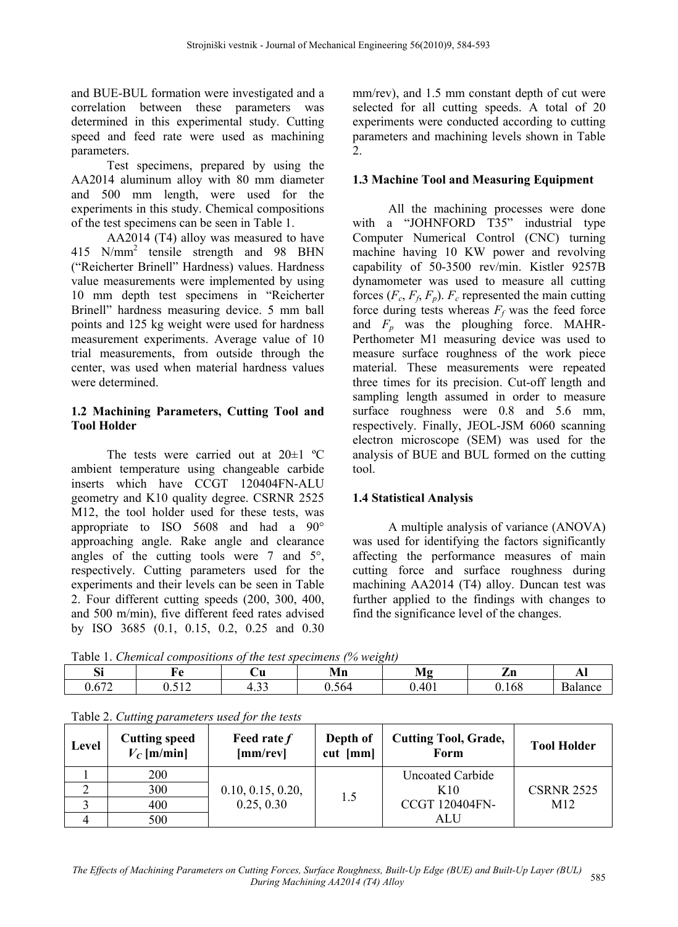and BUE-BUL formation were investigated and a correlation between these parameters was determined in this experimental study. Cutting speed and feed rate were used as machining parameters.

Test specimens, prepared by using the AA2014 aluminum alloy with 80 mm diameter and 500 mm length, were used for the experiments in this study. Chemical compositions of the test specimens can be seen in Table 1.

AA2014 (T4) alloy was measured to have 415 N/mm2 tensile strength and 98 BHN ("Reicherter Brinell" Hardness) values. Hardness value measurements were implemented by using 10 mm depth test specimens in "Reicherter Brinell" hardness measuring device. 5 mm ball points and 125 kg weight were used for hardness measurement experiments. Average value of 10 trial measurements, from outside through the center, was used when material hardness values were determined.

# **1.2 Machining Parameters, Cutting Tool and Tool Holder**

The tests were carried out at  $20 \pm 1$  °C ambient temperature using changeable carbide inserts which have CCGT 120404FN-ALU geometry and K10 quality degree. CSRNR 2525 M12, the tool holder used for these tests, was appropriate to ISO 5608 and had a 90° approaching angle. Rake angle and clearance angles of the cutting tools were 7 and 5°, respectively. Cutting parameters used for the experiments and their levels can be seen in Table 2. Four different cutting speeds (200, 300, 400, and 500 m/min), five different feed rates advised by ISO 3685 (0.1, 0.15, 0.2, 0.25 and 0.30

mm/rev), and 1.5 mm constant depth of cut were selected for all cutting speeds. A total of 20 experiments were conducted according to cutting parameters and machining levels shown in Table 2.

# **1.3 Machine Tool and Measuring Equipment**

All the machining processes were done with a "JOHNFORD T35" industrial type Computer Numerical Control (CNC) turning machine having 10 KW power and revolving capability of 50-3500 rev/min. Kistler 9257B dynamometer was used to measure all cutting forces  $(F_c, F_f, F_p)$ .  $F_c$  represented the main cutting force during tests whereas  $F_f$  was the feed force and  $F_p$  was the ploughing force. MAHR-Perthometer M1 measuring device was used to measure surface roughness of the work piece material. These measurements were repeated three times for its precision. Cut-off length and sampling length assumed in order to measure surface roughness were 0.8 and 5.6 mm, respectively. Finally, JEOL-JSM 6060 scanning electron microscope (SEM) was used for the analysis of BUE and BUL formed on the cutting tool.

# **1.4 Statistical Analysis**

A multiple analysis of variance (ANOVA) was used for identifying the factors significantly affecting the performance measures of main cutting force and surface roughness during machining AA2014 (T4) alloy. Duncan test was further applied to the findings with changes to find the significance level of the changes.

Table 1. *Chemical compositions of the test specimens (% weight)* 

| $\sim$ wore in chronology controlled the case vection of the controller than $\sim$ the $\sim$ |                     |                |                               |      |       |                     |
|------------------------------------------------------------------------------------------------|---------------------|----------------|-------------------------------|------|-------|---------------------|
| r.<br>IJΙ                                                                                      |                     | m<br>∪u        | Mn                            | Mջ   | ப     | .                   |
| $\sqrt{2}$<br>0.672                                                                            | $-10$<br>ॱ⊥∠<br>◡.◡ | $\sim$<br>T.JJ | $\sim$ $\sim$ $\sim$<br>J.564 | .401 | 0.168 | $\sqrt{ }$<br>lance |

| Level | <b>Cutting speed</b><br>$V_c$ [m/min] | Feed rate f<br>${\rm [mm/rev]}$ | Depth of<br>[mm]<br>cut | <b>Cutting Tool, Grade,</b><br>Form | <b>Tool Holder</b> |
|-------|---------------------------------------|---------------------------------|-------------------------|-------------------------------------|--------------------|
|       | 200                                   |                                 |                         | Uncoated Carbide                    |                    |
|       | 300                                   | 0.10, 0.15, 0.20,               | 1.5                     | K <sub>10</sub>                     | <b>CSRNR 2525</b>  |
|       | 400                                   | 0.25, 0.30                      |                         | <b>CCGT 120404FN-</b>               | M <sub>12</sub>    |
|       | 500                                   |                                 |                         | ALU                                 |                    |

Table 2. *Cutting parameters used for the tests*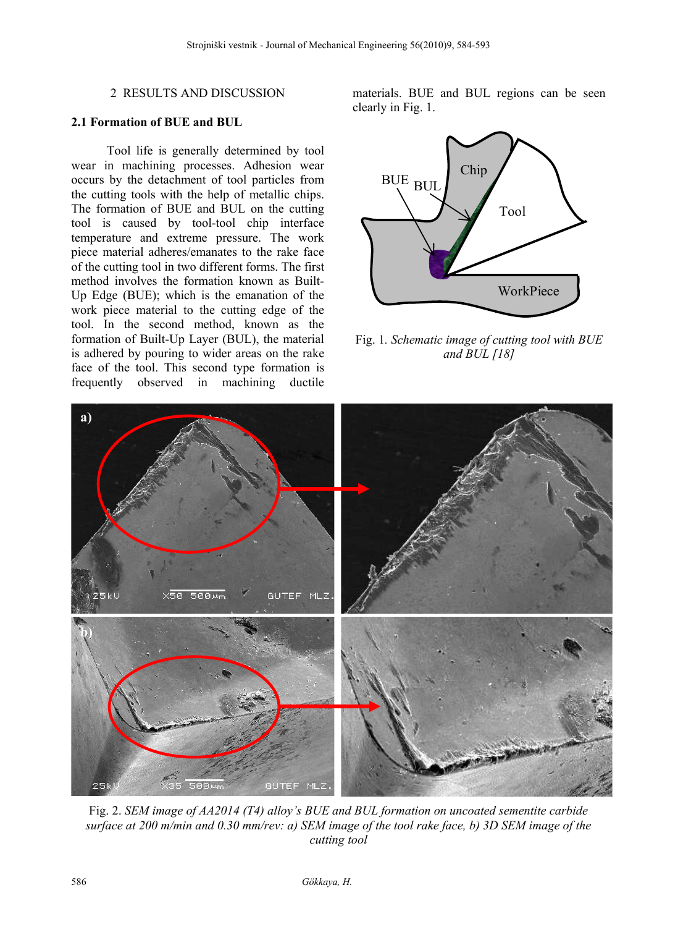#### 2 RESULTS AND DISCUSSION

# **2.1 Formation of BUE and BUL**

Tool life is generally determined by tool wear in machining processes. Adhesion wear occurs by the detachment of tool particles from the cutting tools with the help of metallic chips. The formation of BUE and BUL on the cutting tool is caused by tool-tool chip interface temperature and extreme pressure. The work piece material adheres/emanates to the rake face of the cutting tool in two different forms. The first method involves the formation known as Built-Up Edge (BUE); which is the emanation of the work piece material to the cutting edge of the tool. In the second method, known as the formation of Built-Up Layer (BUL), the material is adhered by pouring to wider areas on the rake face of the tool. This second type formation is frequently observed in machining ductile materials. BUE and BUL regions can be seen clearly in Fig. 1.



Fig. 1*. Schematic image of cutting tool with BUE and BUL [18]*



Fig. 2. *SEM image of AA2014 (T4) alloy's BUE and BUL formation on uncoated sementite carbide surface at 200 m/min and 0.30 mm/rev: a) SEM image of the tool rake face, b) 3D SEM image of the cutting tool*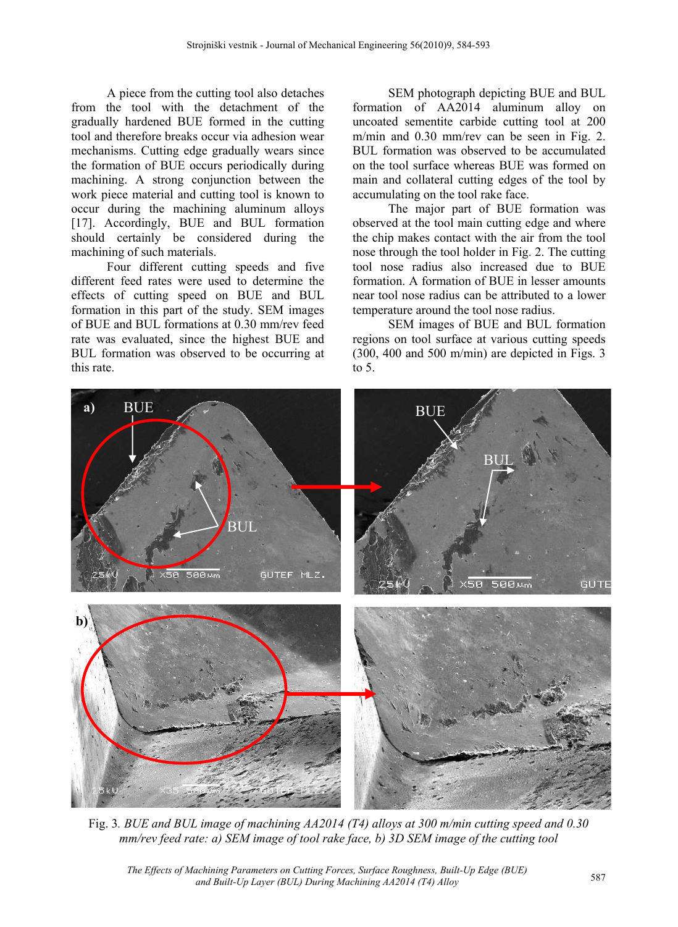A piece from the cutting tool also detaches from the tool with the detachment of the gradually hardened BUE formed in the cutting tool and therefore breaks occur via adhesion wear mechanisms. Cutting edge gradually wears since the formation of BUE occurs periodically during machining. A strong conjunction between the work piece material and cutting tool is known to occur during the machining aluminum alloys [17]. Accordingly, BUE and BUL formation should certainly be considered during the machining of such materials.

Four different cutting speeds and five different feed rates were used to determine the effects of cutting speed on BUE and BUL formation in this part of the study. SEM images of BUE and BUL formations at 0.30 mm/rev feed rate was evaluated, since the highest BUE and BUL formation was observed to be occurring at this rate.

SEM photograph depicting BUE and BUL formation of AA2014 aluminum alloy on uncoated sementite carbide cutting tool at 200 m/min and 0.30 mm/rev can be seen in Fig. 2. BUL formation was observed to be accumulated on the tool surface whereas BUE was formed on main and collateral cutting edges of the tool by accumulating on the tool rake face.

The major part of BUE formation was observed at the tool main cutting edge and where the chip makes contact with the air from the tool nose through the tool holder in Fig. 2. The cutting tool nose radius also increased due to BUE formation. A formation of BUE in lesser amounts near tool nose radius can be attributed to a lower temperature around the tool nose radius.

SEM images of BUE and BUL formation regions on tool surface at various cutting speeds (300, 400 and 500 m/min) are depicted in Figs. 3 to  $5<sub>1</sub>$ 



Fig. 3*. BUE and BUL image of machining AA2014 (T4) alloys at 300 m/min cutting speed and 0.30 mm/rev feed rate: a) SEM image of tool rake face, b) 3D SEM image of the cutting tool*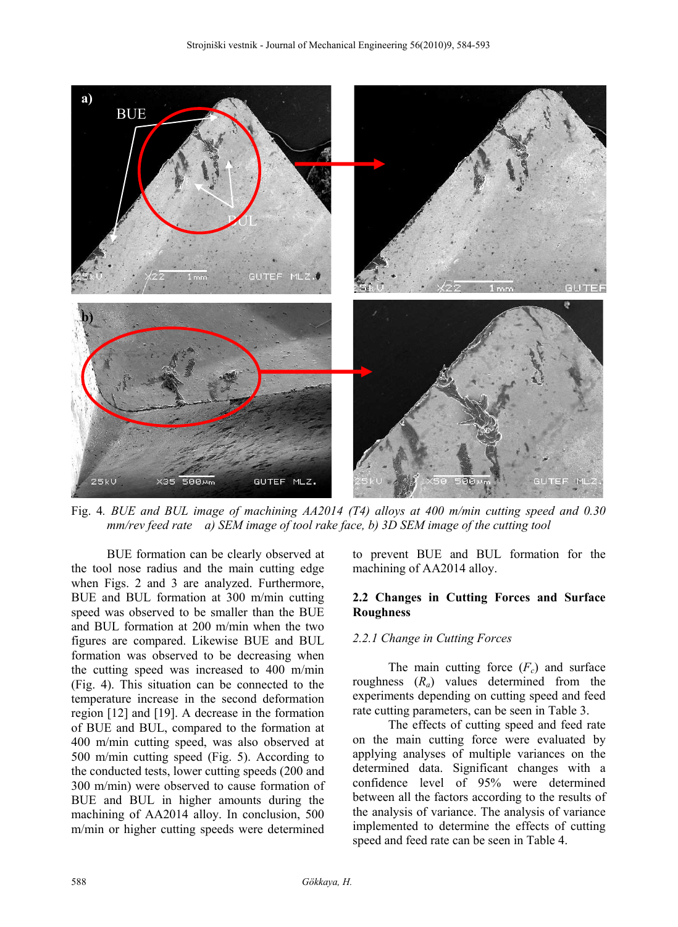

Fig. 4*. BUE and BUL image of machining AA2014 (T4) alloys at 400 m/min cutting speed and 0.30 mm/rev feed rate a) SEM image of tool rake face, b) 3D SEM image of the cutting tool* 

BUE formation can be clearly observed at the tool nose radius and the main cutting edge when Figs. 2 and 3 are analyzed. Furthermore, BUE and BUL formation at 300 m/min cutting speed was observed to be smaller than the BUE and BUL formation at 200 m/min when the two figures are compared. Likewise BUE and BUL formation was observed to be decreasing when the cutting speed was increased to 400 m/min (Fig. 4). This situation can be connected to the temperature increase in the second deformation region [12] and [19]. A decrease in the formation of BUE and BUL, compared to the formation at 400 m/min cutting speed, was also observed at 500 m/min cutting speed (Fig. 5). According to the conducted tests, lower cutting speeds (200 and 300 m/min) were observed to cause formation of BUE and BUL in higher amounts during the machining of AA2014 alloy. In conclusion, 500 m/min or higher cutting speeds were determined

to prevent BUE and BUL formation for the machining of AA2014 alloy.

# **2.2 Changes in Cutting Forces and Surface Roughness**

#### *2.2.1 Change in Cutting Forces*

The main cutting force  $(F<sub>c</sub>)$  and surface roughness (*Ra*) values determined from the experiments depending on cutting speed and feed rate cutting parameters, can be seen in Table 3.

The effects of cutting speed and feed rate on the main cutting force were evaluated by applying analyses of multiple variances on the determined data. Significant changes with a confidence level of 95% were determined between all the factors according to the results of the analysis of variance. The analysis of variance implemented to determine the effects of cutting speed and feed rate can be seen in Table 4.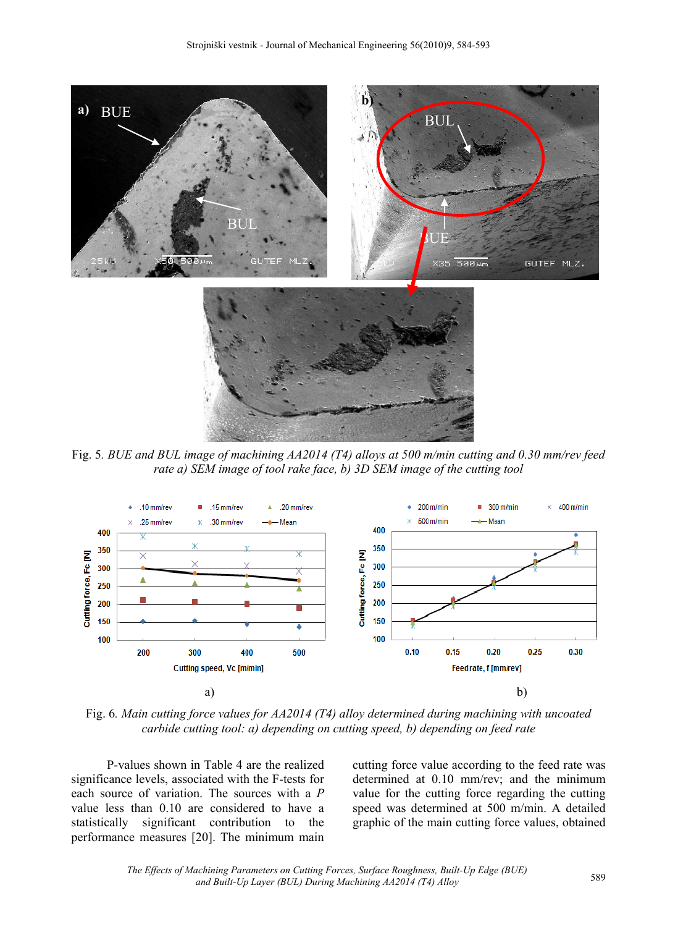

Fig. 5*. BUE and BUL image of machining AA2014 (T4) alloys at 500 m/min cutting and 0.30 mm/rev feed rate a) SEM image of tool rake face, b) 3D SEM image of the cutting tool* 



Fig. 6*. Main cutting force values for AA2014 (T4) alloy determined during machining with uncoated carbide cutting tool: a) depending on cutting speed, b) depending on feed rate* 

P-values shown in Table 4 are the realized significance levels, associated with the F-tests for each source of variation. The sources with a *P* value less than 0.10 are considered to have a statistically significant contribution to the performance measures [20]. The minimum main

cutting force value according to the feed rate was determined at 0.10 mm/rev; and the minimum value for the cutting force regarding the cutting speed was determined at 500 m/min. A detailed graphic of the main cutting force values, obtained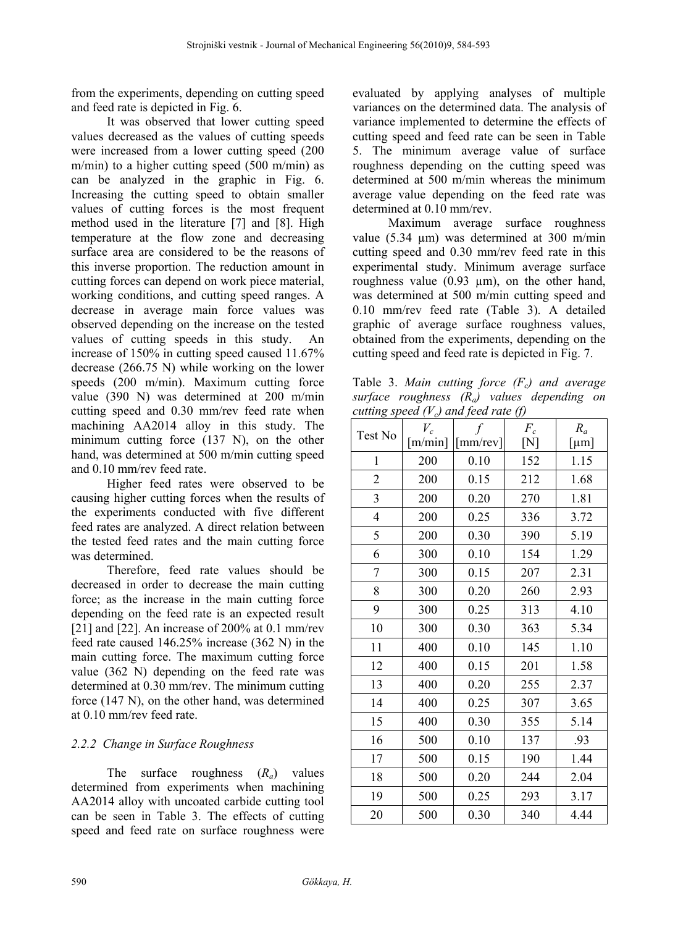from the experiments, depending on cutting speed and feed rate is depicted in Fig. 6.

It was observed that lower cutting speed values decreased as the values of cutting speeds were increased from a lower cutting speed (200 m/min) to a higher cutting speed (500 m/min) as can be analyzed in the graphic in Fig. 6. Increasing the cutting speed to obtain smaller values of cutting forces is the most frequent method used in the literature [7] and [8]. High temperature at the flow zone and decreasing surface area are considered to be the reasons of this inverse proportion. The reduction amount in cutting forces can depend on work piece material, working conditions, and cutting speed ranges. A decrease in average main force values was observed depending on the increase on the tested values of cutting speeds in this study. An increase of 150% in cutting speed caused 11.67% decrease (266.75 N) while working on the lower speeds (200 m/min). Maximum cutting force value (390 N) was determined at 200 m/min cutting speed and 0.30 mm/rev feed rate when machining AA2014 alloy in this study. The minimum cutting force (137 N), on the other hand, was determined at 500 m/min cutting speed and 0.10 mm/rev feed rate.

Higher feed rates were observed to be causing higher cutting forces when the results of the experiments conducted with five different feed rates are analyzed. A direct relation between the tested feed rates and the main cutting force was determined.

Therefore, feed rate values should be decreased in order to decrease the main cutting force; as the increase in the main cutting force depending on the feed rate is an expected result [21] and [22]. An increase of 200% at 0.1 mm/rev feed rate caused 146.25% increase (362 N) in the main cutting force. The maximum cutting force value (362 N) depending on the feed rate was determined at 0.30 mm/rev. The minimum cutting force (147 N), on the other hand, was determined at 0.10 mm/rev feed rate.

# *2.2.2 Change in Surface Roughness*

The surface roughness (*Ra*) values determined from experiments when machining AA2014 alloy with uncoated carbide cutting tool can be seen in Table 3. The effects of cutting speed and feed rate on surface roughness were evaluated by applying analyses of multiple variances on the determined data. The analysis of variance implemented to determine the effects of cutting speed and feed rate can be seen in Table 5. The minimum average value of surface roughness depending on the cutting speed was determined at 500 m/min whereas the minimum average value depending on the feed rate was determined at 0.10 mm/rev.

Maximum average surface roughness value (5.34 µm) was determined at 300 m/min cutting speed and 0.30 mm/rev feed rate in this experimental study. Minimum average surface roughness value (0.93 µm), on the other hand, was determined at 500 m/min cutting speed and 0.10 mm/rev feed rate (Table 3). A detailed graphic of average surface roughness values, obtained from the experiments, depending on the cutting speed and feed rate is depicted in Fig. 7.

Table 3. Main cutting force (F<sub>c</sub>) and average *surface roughness (Ra) values depending on*   $cutting speed (V)$  and feed rate (f)

| $\cdots$ $\sigma$ $\tau$<br>Test No | $\sim$<br>$V_c$ | $\boldsymbol{f}$ | $\cup$<br>$F_c$ | $R_a$ |
|-------------------------------------|-----------------|------------------|-----------------|-------|
|                                     | [m/min]         | [mm/rev]         | $[{\rm N}]$     | [µm]  |
| $\mathbf{1}$                        | 200             | 0.10             | 152             | 1.15  |
| $\overline{2}$                      | 200             | 0.15             | 212             | 1.68  |
| 3                                   | 200             | 0.20             | 270             | 1.81  |
| $\overline{4}$                      | 200             | 0.25             | 336             | 3.72  |
| 5                                   | 200             | 0.30             | 390             | 5.19  |
| 6                                   | 300             | 0.10             | 154             | 1.29  |
| 7                                   | 300             | 0.15             | 207             | 2.31  |
| 8                                   | 300             | 0.20             | 260             | 2.93  |
| 9                                   | 300             | 0.25             | 313             | 4.10  |
| 10                                  | 300             | 0.30             | 363             | 5.34  |
| 11                                  | 400             | 0.10             | 145             | 1.10  |
| 12                                  | 400             | 0.15             | 201             | 1.58  |
| 13                                  | 400             | 0.20             | 255             | 2.37  |
| 14                                  | 400             | 0.25             | 307             | 3.65  |
| 15                                  | 400             | 0.30             | 355             | 5.14  |
| 16                                  | 500             | 0.10             | 137             | .93   |
| 17                                  | 500             | 0.15             | 190             | 1.44  |
| 18                                  | 500             | 0.20             | 244             | 2.04  |
| 19                                  | 500             | 0.25             | 293             | 3.17  |
| 20                                  | 500             | 0.30             | 340             | 4.44  |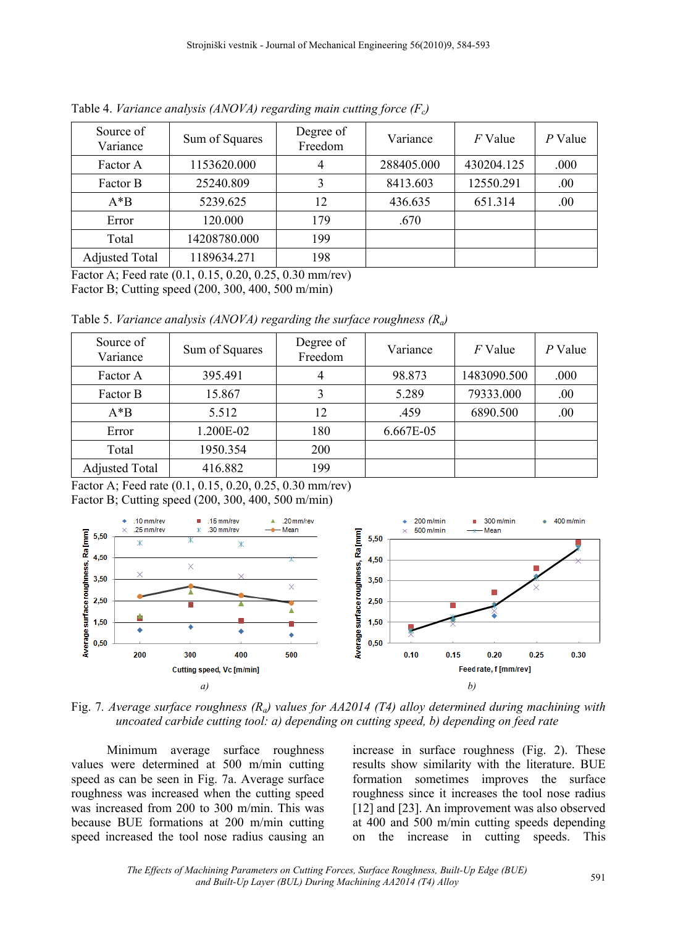| Source of<br>Variance | Sum of Squares | Degree of<br>Freedom | Variance   | $F$ Value  | P Value |
|-----------------------|----------------|----------------------|------------|------------|---------|
| Factor A              | 1153620.000    | 4                    | 288405.000 | 430204.125 | .000    |
| Factor B              | 25240.809      |                      | 8413.603   | 12550.291  | .00     |
| $A*B$                 | 5239.625       | 12                   | 436.635    | 651.314    | .00     |
| Error                 | 120.000        | 179                  | .670       |            |         |
| Total                 | 14208780.000   | 199                  |            |            |         |
| <b>Adjusted Total</b> | 1189634.271    | 198                  |            |            |         |

Table 4. *Variance analysis (ANOVA) regarding main cutting force (F<sub>c</sub>)* 

Factor A; Feed rate (0.1, 0.15, 0.20, 0.25, 0.30 mm/rev) Factor B; Cutting speed (200, 300, 400, 500 m/min)

Table 5. *Variance analysis (ANOVA) regarding the surface roughness (Ra)* 

| Source of<br>Variance | Sum of Squares | Degree of<br>Freedom | Variance  | $F$ Value   | P Value |
|-----------------------|----------------|----------------------|-----------|-------------|---------|
| Factor A              | 395.491        |                      | 98.873    | 1483090.500 | .000    |
| Factor B              | 15.867         |                      | 5.289     | 79333.000   | .00     |
| $A^*B$                | 5.512          | 12                   | .459      | 6890.500    | .00     |
| Error                 | 1.200E-02      | 180                  | 6.667E-05 |             |         |
| Total                 | 1950.354       | 200                  |           |             |         |
| <b>Adjusted Total</b> | 416.882        | 199                  |           |             |         |

Factor A; Feed rate (0.1, 0.15, 0.20, 0.25, 0.30 mm/rev) Factor B; Cutting speed (200, 300, 400, 500 m/min)



Fig. 7*. Average surface roughness (Ra) values for AA2014 (T4) alloy determined during machining with uncoated carbide cutting tool: a) depending on cutting speed, b) depending on feed rate* 

Minimum average surface roughness values were determined at 500 m/min cutting speed as can be seen in Fig. 7a. Average surface roughness was increased when the cutting speed was increased from 200 to 300 m/min. This was because BUE formations at 200 m/min cutting speed increased the tool nose radius causing an

increase in surface roughness (Fig. 2). These results show similarity with the literature. BUE formation sometimes improves the surface roughness since it increases the tool nose radius [12] and [23]. An improvement was also observed at 400 and 500 m/min cutting speeds depending on the increase in cutting speeds. This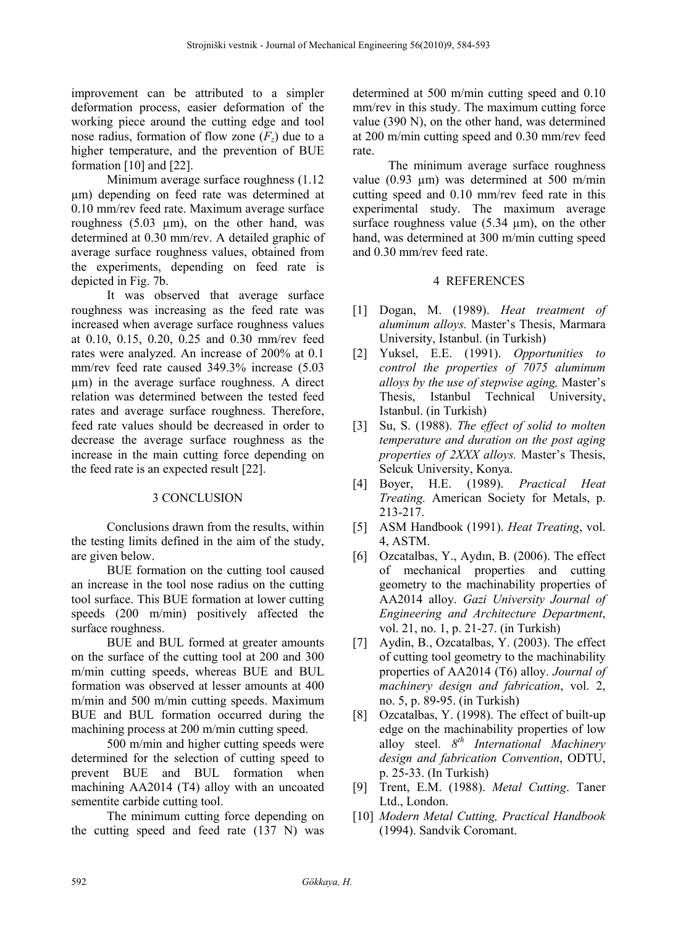improvement can be attributed to a simpler deformation process, easier deformation of the working piece around the cutting edge and tool nose radius, formation of flow zone  $(F<sub>z</sub>)$  due to a higher temperature, and the prevention of BUE formation [10] and [22].

Minimum average surface roughness (1.12 µm) depending on feed rate was determined at 0.10 mm/rev feed rate. Maximum average surface roughness  $(5.03 \mu m)$ , on the other hand, was determined at 0.30 mm/rev. A detailed graphic of average surface roughness values, obtained from the experiments, depending on feed rate is depicted in Fig. 7b.

It was observed that average surface roughness was increasing as the feed rate was increased when average surface roughness values at 0.10, 0.15, 0.20, 0.25 and 0.30 mm/rev feed rates were analyzed. An increase of 200% at 0.1 mm/rev feed rate caused 349.3% increase (5.03 µm) in the average surface roughness. A direct relation was determined between the tested feed rates and average surface roughness. Therefore, feed rate values should be decreased in order to decrease the average surface roughness as the increase in the main cutting force depending on the feed rate is an expected result [22].

# 3 CONCLUSION

Conclusions drawn from the results, within the testing limits defined in the aim of the study, are given below.

BUE formation on the cutting tool caused an increase in the tool nose radius on the cutting tool surface. This BUE formation at lower cutting speeds (200 m/min) positively affected the surface roughness.

BUE and BUL formed at greater amounts on the surface of the cutting tool at 200 and 300 m/min cutting speeds, whereas BUE and BUL formation was observed at lesser amounts at 400 m/min and 500 m/min cutting speeds. Maximum BUE and BUL formation occurred during the machining process at 200 m/min cutting speed.

500 m/min and higher cutting speeds were determined for the selection of cutting speed to prevent BUE and BUL formation when machining AA2014 (T4) alloy with an uncoated sementite carbide cutting tool.

The minimum cutting force depending on the cutting speed and feed rate (137 N) was determined at 500 m/min cutting speed and 0.10 mm/rev in this study. The maximum cutting force value (390 N), on the other hand, was determined at 200 m/min cutting speed and 0.30 mm/rev feed rate.

The minimum average surface roughness value (0.93 µm) was determined at 500 m/min cutting speed and 0.10 mm/rev feed rate in this experimental study. The maximum average surface roughness value  $(5.34 \mu m)$ , on the other hand, was determined at 300 m/min cutting speed and 0.30 mm/rev feed rate.

# 4 REFERENCES

- [1] Dogan, M. (1989). *Heat treatment of aluminum alloys.* Master's Thesis, Marmara University, Istanbul. (in Turkish)
- [2] Yuksel, E.E. (1991). *Opportunities to control the properties of 7075 aluminum alloys by the use of stepwise aging,* Master's Thesis, Istanbul Technical University, Istanbul. (in Turkish)
- [3] Su, S. (1988). *The effect of solid to molten temperature and duration on the post aging properties of 2XXX alloys.* Master's Thesis, Selcuk University, Konya.
- [4] Boyer, H.E. (1989). *Practical Heat Treating.* American Society for Metals, p. 213-217.
- [5] ASM Handbook (1991). *Heat Treating*, vol. 4, ASTM.
- [6] Ozcatalbas, Y., Aydın, B. (2006). The effect of mechanical properties and cutting geometry to the machinability properties of AA2014 alloy. *Gazi University Journal of Engineering and Architecture Department*, vol. 21, no. 1, p. 21-27. (in Turkish)
- [7] Aydin, B., Ozcatalbas, Y. (2003). The effect of cutting tool geometry to the machinability properties of AA2014 (T6) alloy. *Journal of machinery design and fabrication*, vol. 2, no. 5, p. 89-95. (in Turkish)
- [8] Ozcatalbas, Y. (1998). The effect of built-up edge on the machinability properties of low alloy steel. *8th International Machinery design and fabrication Convention*, ODTU, p. 25-33. (In Turkish)
- [9] Trent, E.M. (1988). *Metal Cutting*. Taner Ltd., London.
- [10] *Modern Metal Cutting, Practical Handbook*  (1994). Sandvik Coromant.